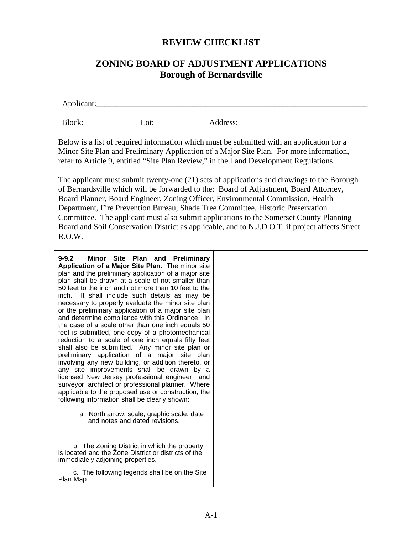## **REVIEW CHECKLIST**

## **ZONING BOARD OF ADJUSTMENT APPLICATIONS Borough of Bernardsville**

Applicant:\_\_\_\_\_\_\_\_\_\_\_\_\_\_\_\_\_\_\_\_\_\_\_\_\_\_\_\_\_\_\_\_\_\_\_\_\_\_\_\_\_\_\_\_\_\_\_\_\_\_\_\_\_\_\_\_\_\_\_\_\_\_\_\_\_\_\_

Block: Lot: Address:

Below is a list of required information which must be submitted with an application for a Minor Site Plan and Preliminary Application of a Major Site Plan. For more information, refer to Article 9, entitled "Site Plan Review," in the Land Development Regulations.

The applicant must submit twenty-one (21) sets of applications and drawings to the Borough of Bernardsville which will be forwarded to the: Board of Adjustment, Board Attorney, Board Planner, Board Engineer, Zoning Officer, Environmental Commission, Health Department, Fire Prevention Bureau, Shade Tree Committee, Historic Preservation Committee. The applicant must also submit applications to the Somerset County Planning Board and Soil Conservation District as applicable, and to N.J.D.O.T. if project affects Street R.O.W.

| $9 - 9.2$<br>Minor Site Plan and Preliminary<br>Application of a Major Site Plan. The minor site<br>plan and the preliminary application of a major site<br>plan shall be drawn at a scale of not smaller than<br>50 feet to the inch and not more than 10 feet to the<br>It shall include such details as may be<br>inch.<br>necessary to properly evaluate the minor site plan<br>or the preliminary application of a major site plan<br>and determine compliance with this Ordinance. In<br>the case of a scale other than one inch equals 50<br>feet is submitted, one copy of a photomechanical<br>reduction to a scale of one inch equals fifty feet<br>shall also be submitted. Any minor site plan or<br>preliminary application of a major site plan<br>involving any new building, or addition thereto, or<br>any site improvements shall be drawn by a<br>licensed New Jersey professional engineer, land<br>surveyor, architect or professional planner. Where<br>applicable to the proposed use or construction, the<br>following information shall be clearly shown:<br>a. North arrow, scale, graphic scale, date<br>and notes and dated revisions. |  |
|--------------------------------------------------------------------------------------------------------------------------------------------------------------------------------------------------------------------------------------------------------------------------------------------------------------------------------------------------------------------------------------------------------------------------------------------------------------------------------------------------------------------------------------------------------------------------------------------------------------------------------------------------------------------------------------------------------------------------------------------------------------------------------------------------------------------------------------------------------------------------------------------------------------------------------------------------------------------------------------------------------------------------------------------------------------------------------------------------------------------------------------------------------------------|--|
| b. The Zoning District in which the property<br>is located and the Zone District or districts of the<br>immediately adjoining properties.                                                                                                                                                                                                                                                                                                                                                                                                                                                                                                                                                                                                                                                                                                                                                                                                                                                                                                                                                                                                                          |  |
| c. The following legends shall be on the Site<br>Plan Map:                                                                                                                                                                                                                                                                                                                                                                                                                                                                                                                                                                                                                                                                                                                                                                                                                                                                                                                                                                                                                                                                                                         |  |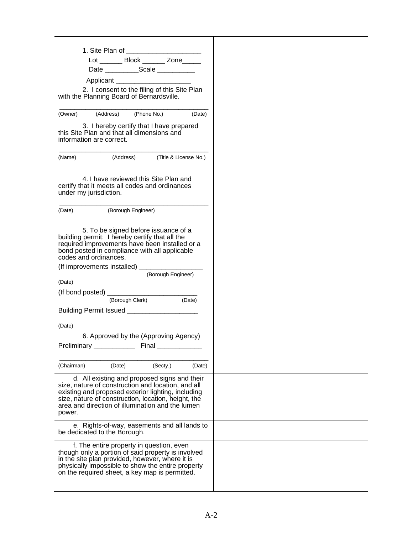|            |                              | Lot ________ Block _______ Zone_____                                                                                                                                                                                                                                |                    |        |
|------------|------------------------------|---------------------------------------------------------------------------------------------------------------------------------------------------------------------------------------------------------------------------------------------------------------------|--------------------|--------|
|            |                              | Date _____________Scale ____________                                                                                                                                                                                                                                |                    |        |
|            |                              |                                                                                                                                                                                                                                                                     |                    |        |
|            |                              | 2. I consent to the filing of this Site Plan<br>with the Planning Board of Bernardsville.                                                                                                                                                                           |                    |        |
|            |                              | (Owner) (Address) (Phone No.)                                                                                                                                                                                                                                       |                    | (Date) |
|            | information are correct.     | 3. I hereby certify that I have prepared<br>this Site Plan and that all dimensions and                                                                                                                                                                              |                    |        |
|            |                              | (Name) (Address) (Title & License No.)                                                                                                                                                                                                                              |                    |        |
|            | under my jurisdiction.       | 4. I have reviewed this Site Plan and<br>certify that it meets all codes and ordinances                                                                                                                                                                             |                    |        |
|            |                              | (Date) (Borough Engineer)                                                                                                                                                                                                                                           |                    |        |
|            | codes and ordinances.        | 5. To be signed before issuance of a<br>building permit: I hereby certify that all the<br>required improvements have been installed or a<br>bond posted in compliance with all applicable<br>(If improvements installed) ____________                               | (Borough Engineer) |        |
| (Date)     |                              |                                                                                                                                                                                                                                                                     |                    |        |
|            |                              |                                                                                                                                                                                                                                                                     |                    |        |
|            |                              |                                                                                                                                                                                                                                                                     | (Date)             |        |
|            |                              | Building Permit Issued ______________________                                                                                                                                                                                                                       |                    |        |
| (Date)     |                              |                                                                                                                                                                                                                                                                     |                    |        |
|            | Preliminary ____________     | 6. Approved by the (Approving Agency)                                                                                                                                                                                                                               | Final ____________ |        |
| (Chairman) |                              | (Date)                                                                                                                                                                                                                                                              | (Secty.)           | (Date) |
| power.     |                              | d. All existing and proposed signs and their<br>size, nature of construction and location, and all<br>existing and proposed exterior lighting, including<br>size, nature of construction, location, height, the<br>area and direction of illumination and the lumen |                    |        |
|            | be dedicated to the Borough. | e. Rights-of-way, easements and all lands to                                                                                                                                                                                                                        |                    |        |
|            |                              | f. The entire property in question, even<br>though only a portion of said property is involved<br>in the site plan provided, however, where it is<br>physically impossible to show the entire property<br>on the required sheet, a key map is permitted.            |                    |        |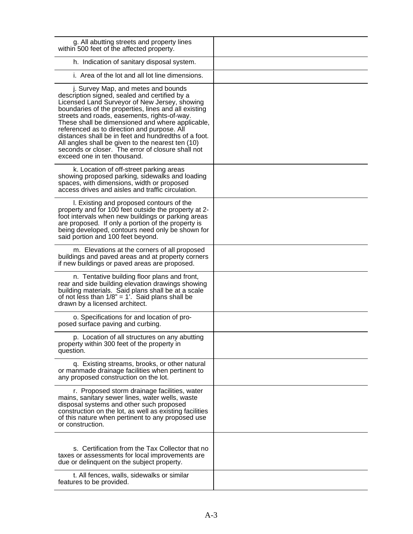| g. All abutting streets and property lines<br>within 500 feet of the affected property.                                                                                                                                                                                                                                                                                                                                                                                                                                                           |  |
|---------------------------------------------------------------------------------------------------------------------------------------------------------------------------------------------------------------------------------------------------------------------------------------------------------------------------------------------------------------------------------------------------------------------------------------------------------------------------------------------------------------------------------------------------|--|
| h. Indication of sanitary disposal system.                                                                                                                                                                                                                                                                                                                                                                                                                                                                                                        |  |
| i. Area of the lot and all lot line dimensions.                                                                                                                                                                                                                                                                                                                                                                                                                                                                                                   |  |
| j. Survey Map, and metes and bounds<br>description signed, sealed and certified by a<br>Licensed Land Surveyor of New Jersey, showing<br>boundaries of the properties, lines and all existing<br>streets and roads, easements, rights-of-way.<br>These shall be dimensioned and where applicable,<br>referenced as to direction and purpose. All<br>distances shall be in feet and hundredths of a foot.<br>All angles shall be given to the nearest ten (10)<br>seconds or closer. The error of closure shall not<br>exceed one in ten thousand. |  |
| k. Location of off-street parking areas<br>showing proposed parking, sidewalks and loading<br>spaces, with dimensions, width or proposed<br>access drives and aisles and traffic circulation.                                                                                                                                                                                                                                                                                                                                                     |  |
| I. Existing and proposed contours of the<br>property and for 100 feet outside the property at 2-<br>foot intervals when new buildings or parking areas<br>are proposed. If only a portion of the property is<br>being developed, contours need only be shown for<br>said portion and 100 feet beyond.                                                                                                                                                                                                                                             |  |
| m. Elevations at the corners of all proposed<br>buildings and paved areas and at property corners<br>if new buildings or paved areas are proposed.                                                                                                                                                                                                                                                                                                                                                                                                |  |
| n. Tentative building floor plans and front,<br>rear and side building elevation drawings showing<br>building materials. Said plans shall be at a scale<br>of not less than $1/8$ " = 1'. Said plans shall be<br>drawn by a licensed architect.                                                                                                                                                                                                                                                                                                   |  |
| o. Specifications for and location of pro-<br>posed surface paving and curbing.                                                                                                                                                                                                                                                                                                                                                                                                                                                                   |  |
| p. Location of all structures on any abutting<br>property within 300 feet of the property in<br>question.                                                                                                                                                                                                                                                                                                                                                                                                                                         |  |
| q. Existing streams, brooks, or other natural<br>or manmade drainage facilities when pertinent to<br>any proposed construction on the lot.                                                                                                                                                                                                                                                                                                                                                                                                        |  |
| r. Proposed storm drainage facilities, water<br>mains, sanitary sewer lines, water wells, waste<br>disposal systems and other such proposed<br>construction on the lot, as well as existing facilities<br>of this nature when pertinent to any proposed use<br>or construction.                                                                                                                                                                                                                                                                   |  |
| s. Certification from the Tax Collector that no<br>taxes or assessments for local improvements are<br>due or delinquent on the subject property.                                                                                                                                                                                                                                                                                                                                                                                                  |  |
| t. All fences, walls, sidewalks or similar<br>features to be provided.                                                                                                                                                                                                                                                                                                                                                                                                                                                                            |  |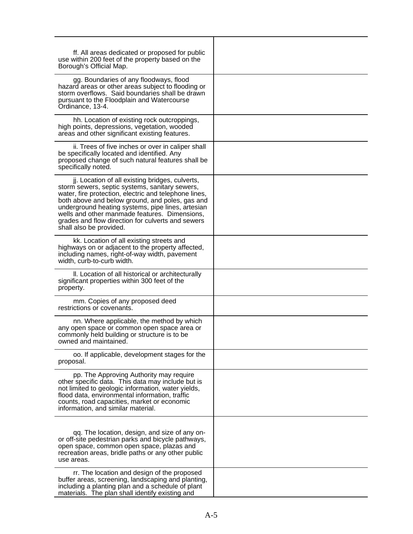| ff. All areas dedicated or proposed for public<br>use within 200 feet of the property based on the<br>Borough's Official Map.                                                                                                                                                                                                                                                                       |  |
|-----------------------------------------------------------------------------------------------------------------------------------------------------------------------------------------------------------------------------------------------------------------------------------------------------------------------------------------------------------------------------------------------------|--|
| gg. Boundaries of any floodways, flood<br>hazard areas or other areas subject to flooding or<br>storm overflows. Said boundaries shall be drawn<br>pursuant to the Floodplain and Watercourse<br>Ordinance, 13-4.                                                                                                                                                                                   |  |
| hh. Location of existing rock outcroppings,<br>high points, depressions, vegetation, wooded<br>areas and other significant existing features.                                                                                                                                                                                                                                                       |  |
| ii. Trees of five inches or over in caliper shall<br>be specifically located and identified. Any<br>proposed change of such natural features shall be<br>specifically noted.                                                                                                                                                                                                                        |  |
| jj. Location of all existing bridges, culverts,<br>storm sewers, septic systems, sanitary sewers,<br>water, fire protection, electric and telephone lines,<br>both above and below ground, and poles, gas and<br>underground heating systems, pipe lines, artesian<br>wells and other manmade features. Dimensions,<br>grades and flow direction for culverts and sewers<br>shall also be provided. |  |
| kk. Location of all existing streets and<br>highways on or adjacent to the property affected,<br>including names, right-of-way width, pavement<br>width, curb-to-curb width.                                                                                                                                                                                                                        |  |
| II. Location of all historical or architecturally<br>significant properties within 300 feet of the<br>property.                                                                                                                                                                                                                                                                                     |  |
| mm. Copies of any proposed deed<br>restrictions or covenants.                                                                                                                                                                                                                                                                                                                                       |  |
| nn. Where applicable, the method by which<br>any open space or common open space area or<br>commonly held building or structure is to be<br>owned and maintained.                                                                                                                                                                                                                                   |  |
| oo. If applicable, development stages for the<br>proposal.                                                                                                                                                                                                                                                                                                                                          |  |
| pp. The Approving Authority may require<br>other specific data. This data may include but is<br>not limited to geologic information, water yields,<br>flood data, environmental information, traffic<br>counts, road capacities, market or economic<br>information, and similar material.                                                                                                           |  |
| qq. The location, design, and size of any on-<br>or off-site pedestrian parks and bicycle pathways,<br>open space, common open space, plazas and<br>recreation areas, bridle paths or any other public<br>use areas.                                                                                                                                                                                |  |
| rr. The location and design of the proposed<br>buffer areas, screening, landscaping and planting,<br>including a planting plan and a schedule of plant<br>materials. The plan shall identify existing and                                                                                                                                                                                           |  |